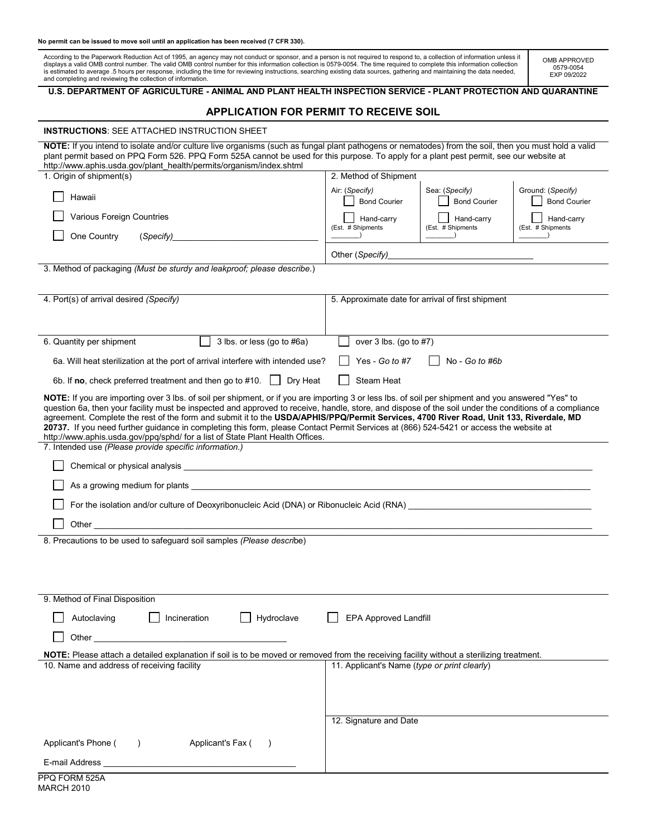#### **No permit can be issued to move soil until an application has been received (7 CFR 330).**

According to the Paperwork Reduction Act of 1995, an agency may not conduct or sponsor, and a person is not required to respond to, a collection of information unless it<br>displays a valid OMB control number. The valid OMB c is estimated to average .5 hours per response, including the time for reviewing instructions, searching existing data sources, gathering and maintaining the data needed,<br>and completing and reviewing the collection of infor

OMB APPROVED 0579-0054 EXP 09/2022

## **U.S. DEPARTMENT OF AGRICULTURE - ANIMAL AND PLANT HEALTH INSPECTION SERVICE - PLANT PROTECTION AND QUARANTINE**

# **APPLICATION FOR PERMIT TO RECEIVE SOIL**

| <b>INSTRUCTIONS: SEE ATTACHED INSTRUCTION SHEET</b>                                                                                                                                                                                                                                                                                                                                                                                                                                                                                                                                                                                                                                                                                         |                                              |                                                   |                                          |  |
|---------------------------------------------------------------------------------------------------------------------------------------------------------------------------------------------------------------------------------------------------------------------------------------------------------------------------------------------------------------------------------------------------------------------------------------------------------------------------------------------------------------------------------------------------------------------------------------------------------------------------------------------------------------------------------------------------------------------------------------------|----------------------------------------------|---------------------------------------------------|------------------------------------------|--|
| NOTE: If you intend to isolate and/or culture live organisms (such as fungal plant pathogens or nematodes) from the soil, then you must hold a valid<br>plant permit based on PPQ Form 526. PPQ Form 525A cannot be used for this purpose. To apply for a plant pest permit, see our website at<br>http://www.aphis.usda.gov/plant health/permits/organism/index.shtml                                                                                                                                                                                                                                                                                                                                                                      |                                              |                                                   |                                          |  |
| 1. Origin of shipment(s)                                                                                                                                                                                                                                                                                                                                                                                                                                                                                                                                                                                                                                                                                                                    | 2. Method of Shipment                        |                                                   |                                          |  |
| Hawaii                                                                                                                                                                                                                                                                                                                                                                                                                                                                                                                                                                                                                                                                                                                                      | Air: (Specify)<br><b>Bond Courier</b>        | Sea: (Specify)<br><b>Bond Courier</b>             | Ground: (Specify)<br><b>Bond Courier</b> |  |
| Various Foreign Countries                                                                                                                                                                                                                                                                                                                                                                                                                                                                                                                                                                                                                                                                                                                   | Hand-carry<br>(Est. # Shipments              | Hand-carry<br>(Est. # Shipments                   | Hand-carry<br>(Est. # Shipments          |  |
| One Country<br>(Specify)_                                                                                                                                                                                                                                                                                                                                                                                                                                                                                                                                                                                                                                                                                                                   |                                              |                                                   |                                          |  |
|                                                                                                                                                                                                                                                                                                                                                                                                                                                                                                                                                                                                                                                                                                                                             | Other (Specify)                              |                                                   |                                          |  |
| 3. Method of packaging (Must be sturdy and leakproof; please describe.)                                                                                                                                                                                                                                                                                                                                                                                                                                                                                                                                                                                                                                                                     |                                              |                                                   |                                          |  |
| 4. Port(s) of arrival desired (Specify)                                                                                                                                                                                                                                                                                                                                                                                                                                                                                                                                                                                                                                                                                                     |                                              | 5. Approximate date for arrival of first shipment |                                          |  |
|                                                                                                                                                                                                                                                                                                                                                                                                                                                                                                                                                                                                                                                                                                                                             |                                              |                                                   |                                          |  |
| 3 lbs. or less (go to #6a)<br>6. Quantity per shipment                                                                                                                                                                                                                                                                                                                                                                                                                                                                                                                                                                                                                                                                                      | over $3$ lbs. (go to $#7$ )                  |                                                   |                                          |  |
| 6a. Will heat sterilization at the port of arrival interfere with intended use?                                                                                                                                                                                                                                                                                                                                                                                                                                                                                                                                                                                                                                                             | Yes - Go to #7<br>No - Go to #6b             |                                                   |                                          |  |
| 6b. If no, check preferred treatment and then go to #10. $\vert \vert$<br>Dry Heat<br>Steam Heat                                                                                                                                                                                                                                                                                                                                                                                                                                                                                                                                                                                                                                            |                                              |                                                   |                                          |  |
| NOTE: If you are importing over 3 lbs. of soil per shipment, or if you are importing 3 or less lbs. of soil per shipment and you answered "Yes" to<br>question 6a, then your facility must be inspected and approved to receive, handle, store, and dispose of the soil under the conditions of a compliance<br>agreement. Complete the rest of the form and submit it to the USDA/APHIS/PPQ/Permit Services, 4700 River Road, Unit 133, Riverdale, MD<br>20737. If you need further guidance in completing this form, please Contact Permit Services at (866) 524-5421 or access the website at<br>http://www.aphis.usda.gov/ppq/sphd/ for a list of State Plant Health Offices.<br>7. Intended use (Please provide specific information.) |                                              |                                                   |                                          |  |
|                                                                                                                                                                                                                                                                                                                                                                                                                                                                                                                                                                                                                                                                                                                                             |                                              |                                                   |                                          |  |
|                                                                                                                                                                                                                                                                                                                                                                                                                                                                                                                                                                                                                                                                                                                                             |                                              |                                                   |                                          |  |
| For the isolation and/or culture of Deoxyribonucleic Acid (DNA) or Ribonucleic Acid (RNA)                                                                                                                                                                                                                                                                                                                                                                                                                                                                                                                                                                                                                                                   |                                              |                                                   |                                          |  |
|                                                                                                                                                                                                                                                                                                                                                                                                                                                                                                                                                                                                                                                                                                                                             |                                              |                                                   |                                          |  |
| 8. Precautions to be used to safeguard soil samples (Please describe)                                                                                                                                                                                                                                                                                                                                                                                                                                                                                                                                                                                                                                                                       |                                              |                                                   |                                          |  |
|                                                                                                                                                                                                                                                                                                                                                                                                                                                                                                                                                                                                                                                                                                                                             |                                              |                                                   |                                          |  |
|                                                                                                                                                                                                                                                                                                                                                                                                                                                                                                                                                                                                                                                                                                                                             |                                              |                                                   |                                          |  |
| 9. Method of Final Disposition                                                                                                                                                                                                                                                                                                                                                                                                                                                                                                                                                                                                                                                                                                              |                                              |                                                   |                                          |  |
| Hydroclave<br>Autoclaving<br>Incineration                                                                                                                                                                                                                                                                                                                                                                                                                                                                                                                                                                                                                                                                                                   | <b>EPA Approved Landfill</b>                 |                                                   |                                          |  |
| Other                                                                                                                                                                                                                                                                                                                                                                                                                                                                                                                                                                                                                                                                                                                                       |                                              |                                                   |                                          |  |
| NOTE: Please attach a detailed explanation if soil is to be moved or removed from the receiving facility without a sterilizing treatment.                                                                                                                                                                                                                                                                                                                                                                                                                                                                                                                                                                                                   |                                              |                                                   |                                          |  |
| 10. Name and address of receiving facility                                                                                                                                                                                                                                                                                                                                                                                                                                                                                                                                                                                                                                                                                                  | 11. Applicant's Name (type or print clearly) |                                                   |                                          |  |
|                                                                                                                                                                                                                                                                                                                                                                                                                                                                                                                                                                                                                                                                                                                                             |                                              |                                                   |                                          |  |
|                                                                                                                                                                                                                                                                                                                                                                                                                                                                                                                                                                                                                                                                                                                                             |                                              |                                                   |                                          |  |
|                                                                                                                                                                                                                                                                                                                                                                                                                                                                                                                                                                                                                                                                                                                                             | 12. Signature and Date                       |                                                   |                                          |  |
| Applicant's Phone (<br>Applicant's Fax (<br>$\rightarrow$                                                                                                                                                                                                                                                                                                                                                                                                                                                                                                                                                                                                                                                                                   |                                              |                                                   |                                          |  |
|                                                                                                                                                                                                                                                                                                                                                                                                                                                                                                                                                                                                                                                                                                                                             |                                              |                                                   |                                          |  |
|                                                                                                                                                                                                                                                                                                                                                                                                                                                                                                                                                                                                                                                                                                                                             |                                              |                                                   |                                          |  |

| PPQ FORM 525A |
|---------------|
| MARCH 2010    |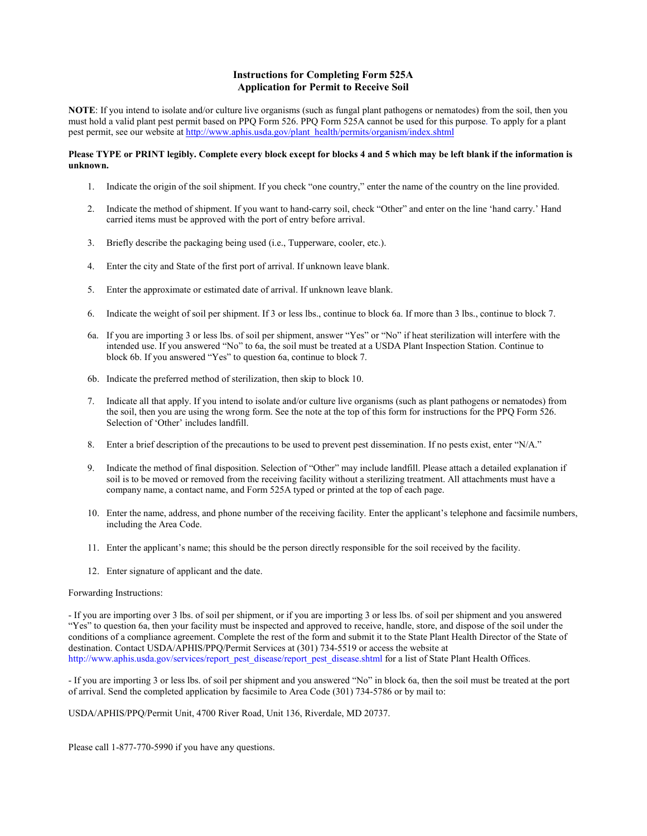## **Instructions for Completing Form 525A Application for Permit to Receive Soil**

**NOTE**: If you intend to isolate and/or culture live organisms (such as fungal plant pathogens or nematodes) from the soil, then you must hold a valid plant pest permit based on PPQ Form 526. PPQ Form 525A cannot be used for this purpose. To apply for a plant pest permit, see our website at [http://www.aphis.usda.gov/plant\\_health/permits/organism/index.shtml](http://www.aphis.usda.gov/plant_health/permits/organism/index.shtml)

### **Please TYPE or PRINT legibly. Complete every block except for blocks 4 and 5 which may be left blank if the information is unknown.**

- 1. Indicate the origin of the soil shipment. If you check "one country," enter the name of the country on the line provided.
- 2. Indicate the method of shipment. If you want to hand-carry soil, check "Other" and enter on the line 'hand carry.' Hand carried items must be approved with the port of entry before arrival.
- 3. Briefly describe the packaging being used (i.e., Tupperware, cooler, etc.).
- 4. Enter the city and State of the first port of arrival. If unknown leave blank.
- 5. Enter the approximate or estimated date of arrival. If unknown leave blank.
- 6. Indicate the weight of soil per shipment. If 3 or less lbs., continue to block 6a. If more than 3 lbs., continue to block 7.
- 6a. If you are importing 3 or less lbs. of soil per shipment, answer "Yes" or "No" if heat sterilization will interfere with the intended use. If you answered "No" to 6a, the soil must be treated at a USDA Plant Inspection Station. Continue to block 6b. If you answered "Yes" to question 6a, continue to block 7.
- 6b. Indicate the preferred method of sterilization, then skip to block 10.
- 7. Indicate all that apply. If you intend to isolate and/or culture live organisms (such as plant pathogens or nematodes) from the soil, then you are using the wrong form. See the note at the top of this form for instructions for the PPQ Form 526. Selection of 'Other' includes landfill.
- 8. Enter a brief description of the precautions to be used to prevent pest dissemination. If no pests exist, enter "N/A."
- 9. Indicate the method of final disposition. Selection of "Other" may include landfill. Please attach a detailed explanation if soil is to be moved or removed from the receiving facility without a sterilizing treatment. All attachments must have a company name, a contact name, and Form 525A typed or printed at the top of each page.
- 10. Enter the name, address, and phone number of the receiving facility. Enter the applicant's telephone and facsimile numbers, including the Area Code.
- 11. Enter the applicant's name; this should be the person directly responsible for the soil received by the facility.
- 12. Enter signature of applicant and the date.

#### Forwarding Instructions:

- If you are importing over 3 lbs. of soil per shipment, or if you are importing 3 or less lbs. of soil per shipment and you answered "Yes" to question 6a, then your facility must be inspected and approved to receive, handle, store, and dispose of the soil under the conditions of a compliance agreement. Complete the rest of the form and submit it to the State Plant Health Director of the State of destination. Contact USDA/APHIS/PPQ/Permit Services at (301) 734-5519 or access the website at http://www.aphis.usda.gov/services/report\_pest\_disease/report\_pest\_disease.shtml for a list of State Plant Health Offices.

- If you are importing 3 or less lbs. of soil per shipment and you answered "No" in block 6a, then the soil must be treated at the port of arrival. Send the completed application by facsimile to Area Code (301) 734-5786 or by mail to:

### USDA/APHIS/PPQ/Permit Unit, 4700 River Road, Unit 136, Riverdale, MD 20737.

Please call 1-877-770-5990 if you have any questions.